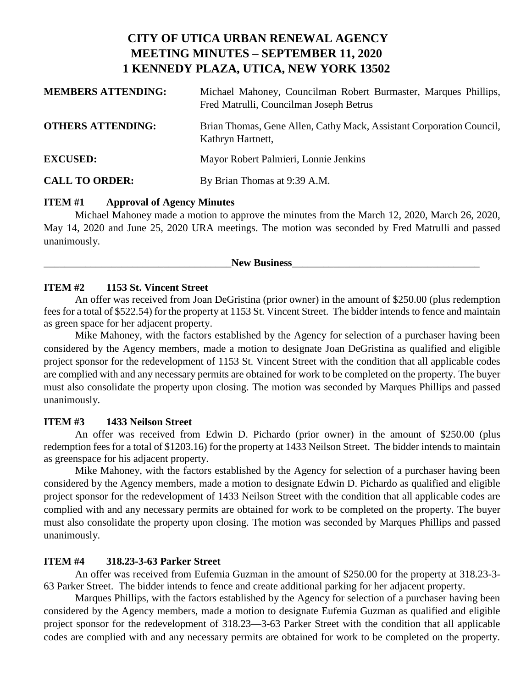# **CITY OF UTICA URBAN RENEWAL AGENCY MEETING MINUTES – SEPTEMBER 11, 2020 1 KENNEDY PLAZA, UTICA, NEW YORK 13502**

| <b>MEMBERS ATTENDING:</b> | Michael Mahoney, Councilman Robert Burmaster, Marques Phillips,<br>Fred Matrulli, Councilman Joseph Betrus |
|---------------------------|------------------------------------------------------------------------------------------------------------|
| <b>OTHERS ATTENDING:</b>  | Brian Thomas, Gene Allen, Cathy Mack, Assistant Corporation Council,<br>Kathryn Hartnett,                  |
| <b>EXCUSED:</b>           | Mayor Robert Palmieri, Lonnie Jenkins                                                                      |
| <b>CALL TO ORDER:</b>     | By Brian Thomas at 9:39 A.M.                                                                               |

#### **ITEM #1 Approval of Agency Minutes**

Michael Mahoney made a motion to approve the minutes from the March 12, 2020, March 26, 2020, May 14, 2020 and June 25, 2020 URA meetings. The motion was seconded by Fred Matrulli and passed unanimously.

New Business

### **ITEM #2 1153 St. Vincent Street**

An offer was received from Joan DeGristina (prior owner) in the amount of \$250.00 (plus redemption fees for a total of \$522.54) for the property at 1153 St. Vincent Street. The bidder intends to fence and maintain as green space for her adjacent property.

Mike Mahoney, with the factors established by the Agency for selection of a purchaser having been considered by the Agency members, made a motion to designate Joan DeGristina as qualified and eligible project sponsor for the redevelopment of 1153 St. Vincent Street with the condition that all applicable codes are complied with and any necessary permits are obtained for work to be completed on the property. The buyer must also consolidate the property upon closing. The motion was seconded by Marques Phillips and passed unanimously.

### **ITEM #3 1433 Neilson Street**

An offer was received from Edwin D. Pichardo (prior owner) in the amount of \$250.00 (plus redemption fees for a total of \$1203.16) for the property at 1433 Neilson Street. The bidder intends to maintain as greenspace for his adjacent property.

Mike Mahoney, with the factors established by the Agency for selection of a purchaser having been considered by the Agency members, made a motion to designate Edwin D. Pichardo as qualified and eligible project sponsor for the redevelopment of 1433 Neilson Street with the condition that all applicable codes are complied with and any necessary permits are obtained for work to be completed on the property. The buyer must also consolidate the property upon closing. The motion was seconded by Marques Phillips and passed unanimously.

# **ITEM #4 318.23-3-63 Parker Street**

An offer was received from Eufemia Guzman in the amount of \$250.00 for the property at 318.23-3- 63 Parker Street. The bidder intends to fence and create additional parking for her adjacent property.

Marques Phillips, with the factors established by the Agency for selection of a purchaser having been considered by the Agency members, made a motion to designate Eufemia Guzman as qualified and eligible project sponsor for the redevelopment of 318.23—3-63 Parker Street with the condition that all applicable codes are complied with and any necessary permits are obtained for work to be completed on the property.